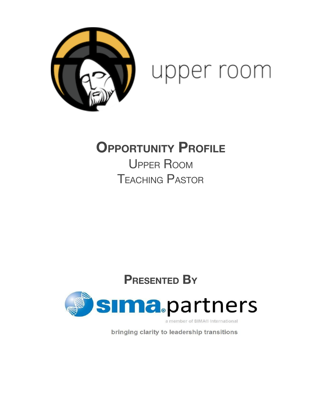



# **OPPORTUNITY PROFILE**

UPPER ROOM TEACHING PASTOR

# **PRESENTED BY**



a member of SIMA® International

bringing clarity to leadership transitions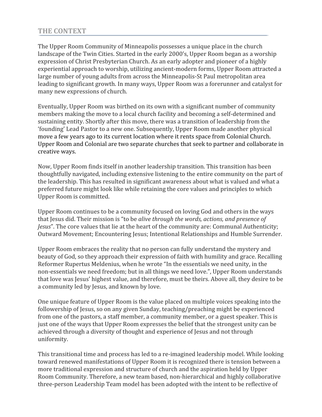# THE CONTEXT

The Upper Room Community of Minneapolis possesses a unique place in the church landscape of the Twin Cities. Started in the early 2000's, Upper Room began as a worship expression of Christ Presbyterian Church. As an early adopter and pioneer of a highly experiential approach to worship, utilizing ancient-modern forms, Upper Room attracted a large number of young adults from across the Minneapolis-St Paul metropolitan area leading to significant growth. In many ways, Upper Room was a forerunner and catalyst for many new expressions of church.

Eventually, Upper Room was birthed on its own with a significant number of community members making the move to a local church facility and becoming a self-determined and sustaining entity. Shortly after this move, there was a transition of leadership from the 'founding' Lead Pastor to a new one. Subsequently, Upper Room made another physical move a few years ago to its current location where it rents space from Colonial Church. Upper Room and Colonial are two separate churches that seek to partner and collaborate in creative ways.

Now, Upper Room finds itself in another leadership transition. This transition has been thoughtfully navigated, including extensive listening to the entire community on the part of the leadership. This has resulted in significant awareness about what is valued and what a preferred future might look like while retaining the core values and principles to which Upper Room is committed.

Upper Room continues to be a community focused on loving God and others in the ways that Jesus did. Their mission is "to be alive through the words, actions, and presence of Jesus". The core values that lie at the heart of the community are: Communal Authenticity; Outward Movement; Encountering Jesus; Intentional Relationships and Humble Surrender.

Upper Room embraces the reality that no person can fully understand the mystery and beauty of God, so they approach their expression of faith with humility and grace. Recalling Reformer Rupertus Meldenius, when he wrote "In the essentials we need unity, in the non-essentials we need freedom; but in all things we need love.", Upper Room understands that love was Jesus' highest value, and therefore, must be theirs. Above all, they desire to be a community led by Jesus, and known by love.

One unique feature of Upper Room is the value placed on multiple voices speaking into the followership of Jesus, so on any given Sunday, teaching/preaching might be experienced from one of the pastors, a staff member, a community member, or a guest speaker. This is just one of the ways that Upper Room expresses the belief that the strongest unity can be achieved through a diversity of thought and experience of Jesus and not through uniformity.

This transitional time and process has led to a re-imagined leadership model. While looking toward renewed manifestations of Upper Room it is recognized there is tension between a more traditional expression and structure of church and the aspiration held by Upper Room Community. Therefore, a new team based, non-hierarchical and highly collaborative three-person Leadership Team model has been adopted with the intent to be reflective of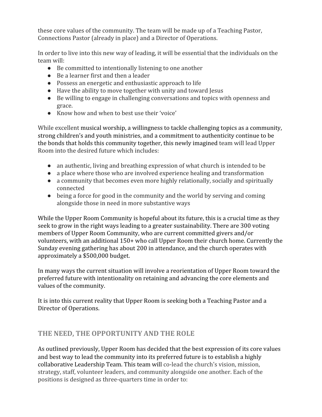these core values of the community. The team will be made up of a Teaching Pastor, Connections Pastor (already in place) and a Director of Operations.

In order to live into this new way of leading, it will be essential that the individuals on the team will:

- Be committed to intentionally listening to one another
- Be a learner first and then a leader
- Possess an energetic and enthusiastic approach to life
- Have the ability to move together with unity and toward Jesus
- Be willing to engage in challenging conversations and topics with openness and grace.
- Know how and when to best use their 'voice'

While excellent musical worship, a willingness to tackle challenging topics as a community, strong children's and youth ministries, and a commitment to authenticity continue to be the bonds that holds this community together, this newly imagined team will lead Upper Room into the desired future which includes:

- an authentic, living and breathing expression of what church is intended to be
- a place where those who are involved experience healing and transformation
- a community that becomes even more highly relationally, socially and spiritually connected
- being a force for good in the community and the world by serving and coming alongside those in need in more substantive ways

While the Upper Room Community is hopeful about its future, this is a crucial time as they seek to grow in the right ways leading to a greater sustainability. There are 300 voting members of Upper Room Community, who are current committed givers and/or volunteers, with an additional 150+ who call Upper Room their church home. Currently the Sunday evening gathering has about 200 in attendance, and the church operates with approximately a \$500,000 budget.

In many ways the current situation will involve a reorientation of Upper Room toward the preferred future with intentionality on retaining and advancing the core elements and values of the community.

It is into this current reality that Upper Room is seeking both a Teaching Pastor and a Director of Operations.

# THE NEED, THE OPPORTUNITY AND THE ROLE

As outlined previously, Upper Room has decided that the best expression of its core values and best way to lead the community into its preferred future is to establish a highly collaborative Leadership Team. This team will co-lead the church's vision, mission, strategy, staff, volunteer leaders, and community alongside one another. Each of the positions is designed as three-quarters time in order to: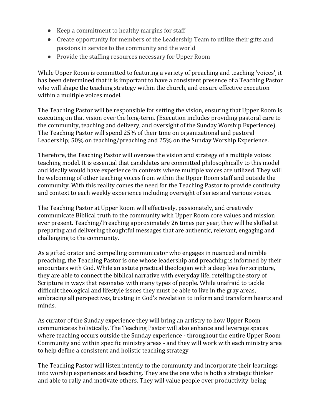- Keep a commitment to healthy margins for staff
- Create opportunity for members of the Leadership Team to utilize their gifts and passions in service to the community and the world
- Provide the staffing resources necessary for Upper Room

While Upper Room is committed to featuring a variety of preaching and teaching 'voices', it has been determined that it is important to have a consistent presence of a Teaching Pastor who will shape the teaching strategy within the church, and ensure effective execution within a multiple voices model.

The Teaching Pastor will be responsible for setting the vision, ensuring that Upper Room is executing on that vision over the long-term. (Execution includes providing pastoral care to the community, teaching and delivery, and oversight of the Sunday Worship Experience). The Teaching Pastor will spend 25% of their time on organizational and pastoral Leadership; 50% on teaching/preaching and 25% on the Sunday Worship Experience.

Therefore, the Teaching Pastor will oversee the vision and strategy of a multiple voices teaching model. It is essential that candidates are committed philosophically to this model and ideally would have experience in contexts where multiple voices are utilized. They will be welcoming of other teaching voices from within the Upper Room staff and outside the community. With this reality comes the need for the Teaching Pastor to provide continuity and context to each weekly experience including oversight of series and various voices.

The Teaching Pastor at Upper Room will effectively, passionately, and creatively communicate Biblical truth to the community with Upper Room core values and mission ever present. Teaching/Preaching approximately 26 times per year, they will be skilled at preparing and delivering thoughtful messages that are authentic, relevant, engaging and challenging to the community.

As a gifted orator and compelling communicator who engages in nuanced and nimble preaching, the Teaching Pastor is one whose leadership and preaching is informed by their encounters with God. While an astute practical theologian with a deep love for scripture, they are able to connect the biblical narrative with everyday life, retelling the story of Scripture in ways that resonates with many types of people. While unafraid to tackle difficult theological and lifestyle issues they must be able to live in the gray areas, embracing all perspectives, trusting in God's revelation to inform and transform hearts and minds.

As curator of the Sunday experience they will bring an artistry to how Upper Room communicates holistically. The Teaching Pastor will also enhance and leverage spaces where teaching occurs outside the Sunday experience - throughout the entire Upper Room Community and within specific ministry areas - and they will work with each ministry area to help define a consistent and holistic teaching strategy

The Teaching Pastor will listen intently to the community and incorporate their learnings into worship experiences and teaching. They are the one who is both a strategic thinker and able to rally and motivate others. They will value people over productivity, being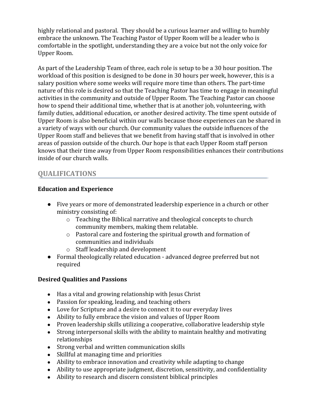highly relational and pastoral. They should be a curious learner and willing to humbly embrace the unknown. The Teaching Pastor of Upper Room will be a leader who is comfortable in the spotlight, understanding they are a voice but not the only voice for Upper Room.

As part of the Leadership Team of three, each role is setup to be a 30 hour position. The workload of this position is designed to be done in 30 hours per week, however, this is a salary position where some weeks will require more time than others. The part-time nature of this role is desired so that the Teaching Pastor has time to engage in meaningful activities in the community and outside of Upper Room. The Teaching Pastor can choose how to spend their additional time, whether that is at another job, volunteering, with family duties, additional education, or another desired activity. The time spent outside of Upper Room is also beneficial within our walls because those experiences can be shared in a variety of ways with our church. Our community values the outside influences of the Upper Room staff and believes that we benefit from having staff that is involved in other areas of passion outside of the church. Our hope is that each Upper Room staff person knows that their time away from Upper Room responsibilities enhances their contributions inside of our church walls.

# QUALIFICATIONS

## Education and Experience

- Five years or more of demonstrated leadership experience in a church or other ministry consisting of:
	- o Teaching the Biblical narrative and theological concepts to church community members, making them relatable.
	- o Pastoral care and fostering the spiritual growth and formation of communities and individuals
	- o Staff leadership and development
- Formal theologically related education advanced degree preferred but not required

## Desired Qualities and Passions

- Has a vital and growing relationship with Jesus Christ
- Passion for speaking, leading, and teaching others
- Love for Scripture and a desire to connect it to our everyday lives
- Ability to fully embrace the vision and values of Upper Room
- Proven leadership skills utilizing a cooperative, collaborative leadership style
- Strong interpersonal skills with the ability to maintain healthy and motivating relationships
- Strong verbal and written communication skills
- Skillful at managing time and priorities
- Ability to embrace innovation and creativity while adapting to change
- Ability to use appropriate judgment, discretion, sensitivity, and confidentiality
- Ability to research and discern consistent biblical principles